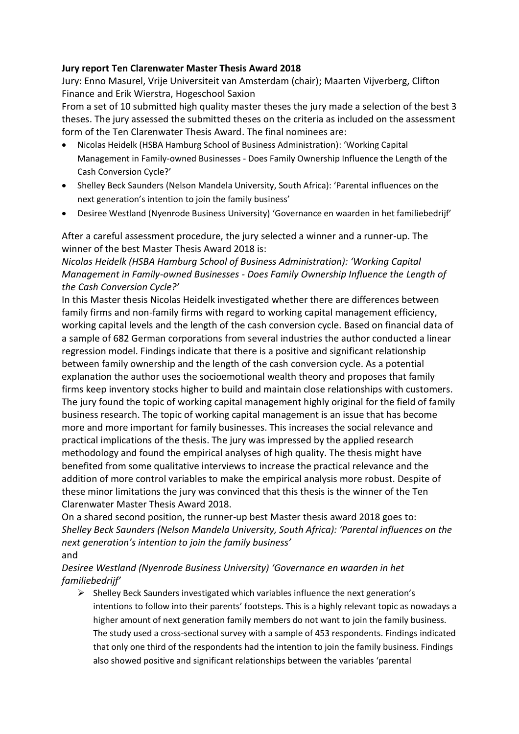## **Jury report Ten Clarenwater Master Thesis Award 2018**

Jury: Enno Masurel, Vrije Universiteit van Amsterdam (chair); Maarten Vijverberg, Clifton Finance and Erik Wierstra, Hogeschool Saxion

From a set of 10 submitted high quality master theses the jury made a selection of the best 3 theses. The jury assessed the submitted theses on the criteria as included on the assessment form of the Ten Clarenwater Thesis Award. The final nominees are:

- Nicolas Heidelk (HSBA Hamburg School of Business Administration): 'Working Capital Management in Family-owned Businesses - Does Family Ownership Influence the Length of the Cash Conversion Cycle?'
- Shelley Beck Saunders (Nelson Mandela University, South Africa): 'Parental influences on the next generation's intention to join the family business'
- Desiree Westland (Nyenrode Business University) 'Governance en waarden in het familiebedrijf'

After a careful assessment procedure, the jury selected a winner and a runner-up. The winner of the best Master Thesis Award 2018 is:

## *Nicolas Heidelk (HSBA Hamburg School of Business Administration): 'Working Capital Management in Family-owned Businesses - Does Family Ownership Influence the Length of the Cash Conversion Cycle?'*

In this Master thesis Nicolas Heidelk investigated whether there are differences between family firms and non-family firms with regard to working capital management efficiency, working capital levels and the length of the cash conversion cycle. Based on financial data of a sample of 682 German corporations from several industries the author conducted a linear regression model. Findings indicate that there is a positive and significant relationship between family ownership and the length of the cash conversion cycle. As a potential explanation the author uses the socioemotional wealth theory and proposes that family firms keep inventory stocks higher to build and maintain close relationships with customers. The jury found the topic of working capital management highly original for the field of family business research. The topic of working capital management is an issue that has become more and more important for family businesses. This increases the social relevance and practical implications of the thesis. The jury was impressed by the applied research methodology and found the empirical analyses of high quality. The thesis might have benefited from some qualitative interviews to increase the practical relevance and the addition of more control variables to make the empirical analysis more robust. Despite of these minor limitations the jury was convinced that this thesis is the winner of the Ten Clarenwater Master Thesis Award 2018.

On a shared second position, the runner-up best Master thesis award 2018 goes to: *Shelley Beck Saunders (Nelson Mandela University, South Africa): 'Parental influences on the next generation's intention to join the family business'*

and

## *Desiree Westland (Nyenrode Business University) 'Governance en waarden in het familiebedrijf'*

 $\triangleright$  Shelley Beck Saunders investigated which variables influence the next generation's intentions to follow into their parents' footsteps. This is a highly relevant topic as nowadays a higher amount of next generation family members do not want to join the family business. The study used a cross-sectional survey with a sample of 453 respondents. Findings indicated that only one third of the respondents had the intention to join the family business. Findings also showed positive and significant relationships between the variables 'parental